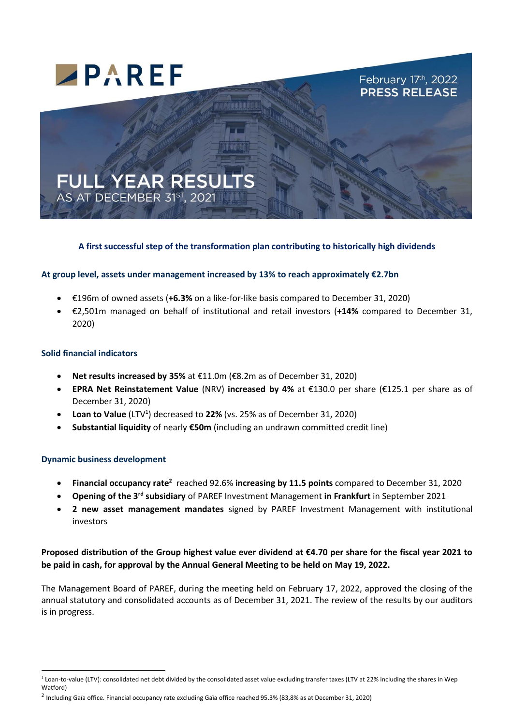

### **A first successful step of the transformation plan contributing to historically high dividends**

#### **At group level, assets under management increased by 13% to reach approximately €2.7bn**

- €196m of owned assets (**+6.3%** on a like-for-like basis compared to December 31, 2020)
- €2,501m managed on behalf of institutional and retail investors (**+14%** compared to December 31, 2020)

#### **Solid financial indicators**

- **Net results increased by 35%** at €11.0m (€8.2m as of December 31, 2020)
- **EPRA Net Reinstatement Value** (NRV) **increased by 4%** at €130.0 per share (€125.1 per share as of December 31, 2020)
- **Loan to Value** (LTV<sup>1</sup>) decreased to 22% (vs. 25% as of December 31, 2020)
- **Substantial liquidity** of nearly **€50m** (including an undrawn committed credit line)

#### **Dynamic business development**

- **Financial occupancy rate<sup>2</sup> reached 92.6% increasing by 11.5 points compared to December 31, 2020**
- **Opening of the 3rd subsidiary** of PAREF Investment Management **in Frankfurt** in September 2021
- **2 new asset management mandates** signed by PAREF Investment Management with institutional investors

## **Proposed distribution of the Group highest value ever dividend at €4.70 per share for the fiscal year 2021 to be paid in cash, for approval by the Annual General Meeting to be held on May 19, 2022.**

The Management Board of PAREF, during the meeting held on February 17, 2022, approved the closing of the annual statutory and consolidated accounts as of December 31, 2021. The review of the results by our auditors is in progress.

 $1$  Loan-to-value (LTV): consolidated net debt divided by the consolidated asset value excluding transfer taxes (LTV at 22% including the shares in Wep Watford)

<sup>2</sup> Including Gaïa office. Financial occupancy rate excluding Gaïa office reached 95.3% (83,8% as at December 31, 2020)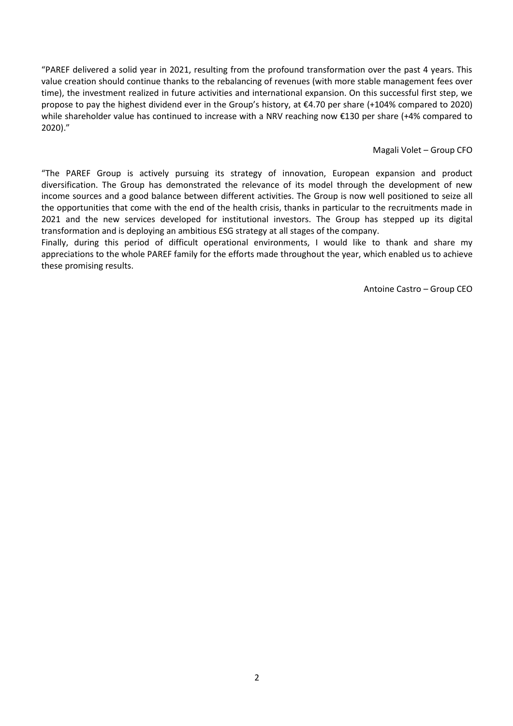"PAREF delivered a solid year in 2021, resulting from the profound transformation over the past 4 years. This value creation should continue thanks to the rebalancing of revenues (with more stable management fees over time), the investment realized in future activities and international expansion. On this successful first step, we propose to pay the highest dividend ever in the Group's history, at €4.70 per share (+104% compared to 2020) while shareholder value has continued to increase with a NRV reaching now €130 per share (+4% compared to 2020)."

Magali Volet – Group CFO

"The PAREF Group is actively pursuing its strategy of innovation, European expansion and product diversification. The Group has demonstrated the relevance of its model through the development of new income sources and a good balance between different activities. The Group is now well positioned to seize all the opportunities that come with the end of the health crisis, thanks in particular to the recruitments made in 2021 and the new services developed for institutional investors. The Group has stepped up its digital transformation and is deploying an ambitious ESG strategy at all stages of the company.

Finally, during this period of difficult operational environments, I would like to thank and share my appreciations to the whole PAREF family for the efforts made throughout the year, which enabled us to achieve these promising results.

Antoine Castro – Group CEO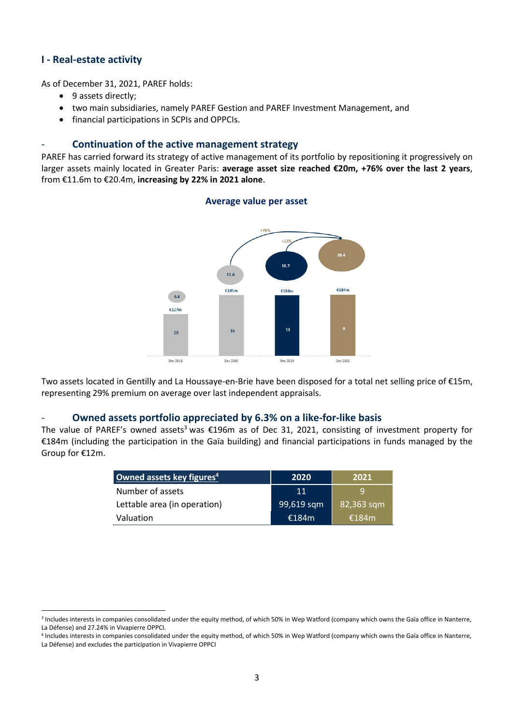## **I - Real-estate activity**

As of December 31, 2021, PAREF holds:

- 9 assets directly;
- two main subsidiaries, namely PAREF Gestion and PAREF Investment Management, and
- financial participations in SCPIs and OPPCIs.

#### - **Continuation of the active management strategy**

PAREF has carried forward its strategy of active management of its portfolio by repositioning it progressively on larger assets mainly located in Greater Paris: **average asset size reached €20m, +76% over the last 2 years**, from €11.6m to €20.4m, **increasing by 22% in 2021 alone**.



Two assets located in Gentilly and La Houssaye-en-Brie have been disposed for a total net selling price of €15m, representing 29% premium on average over last independent appraisals.

#### - **Owned assets portfolio appreciated by 6.3% on a like-for-like basis**

The value of PAREF's owned assets<sup>3</sup> was €196m as of Dec 31, 2021, consisting of investment property for €184m (including the participation in the Gaïa building) and financial participations in funds managed by the Group for €12m.

| Owned assets key figures <sup>4</sup> | 2020       | 2021       |
|---------------------------------------|------------|------------|
| Number of assets                      | 11         | q          |
| Lettable area (in operation)          | 99,619 sqm | 82,363 sqm |
| Valuation                             | €184m      | €184 $m$   |

4 Includes interests in companies consolidated under the equity method, of which 50% in Wep Watford (company which owns the Gaïa office in Nanterre, La Défense) and excludes the participation in Vivapierre OPPCI

## **Average value per asset**

<sup>&</sup>lt;sup>3</sup> Includes interests in companies consolidated under the equity method, of which 50% in Wep Watford (company which owns the Gaïa office in Nanterre, La Défense) and 27.24% in Vivapierre OPPCI.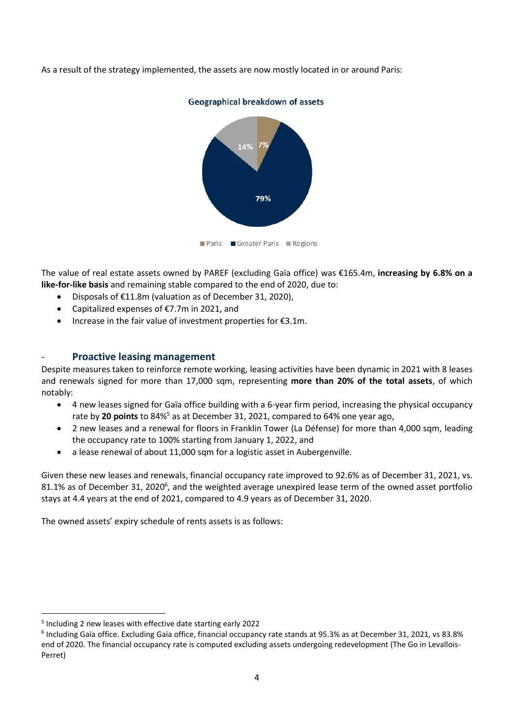As a result of the strategy implemented, the assets are now mostly located in or around Paris:



Geographical breakdown of assets

The value of real estate assets owned by PAREF (excluding Gaïa office) was €165.4m, **increasing by 6.8% on a like-for-like basis** and remaining stable compared to the end of 2020, due to:

- Disposals of €11.8m (valuation as of December 31, 2020),
- Capitalized expenses of €7.7m in 2021, and
- Increase in the fair value of investment properties for €3.1m.

## - **Proactive leasing management**

Despite measures taken to reinforce remote working, leasing activities have been dynamic in 2021 with 8 leases and renewals signed for more than 17,000 sqm, representing **more than 20% of the total assets**, of which notably:

- 4 new leases signed for Gaïa office building with a 6-year firm period, increasing the physical occupancy rate by **20 points** to 84%<sup>5</sup> as at December 31, 2021, compared to 64% one year ago,
- 2 new leases and a renewal for floors in Franklin Tower (La Défense) for more than 4,000 sqm, leading the occupancy rate to 100% starting from January 1, 2022, and
- a lease renewal of about 11,000 sqm for a logistic asset in Aubergenville.

Given these new leases and renewals, financial occupancy rate improved to 92.6% as of December 31, 2021, vs. 81.1% as of December 31, 2020<sup>6</sup>, and the weighted average unexpired lease term of the owned asset portfolio stays at 4.4 years at the end of 2021, compared to 4.9 years as of December 31, 2020.

The owned assets' expiry schedule of rents assets is as follows:

<sup>5</sup> Including 2 new leases with effective date starting early 2022

<sup>6</sup> Including Gaïa office. Excluding Gaïa office, financial occupancy rate stands at 95.3% as at December 31, 2021, vs 83.8% end of 2020. The financial occupancy rate is computed excluding assets undergoing redevelopment (The Go in Levallois-Perret)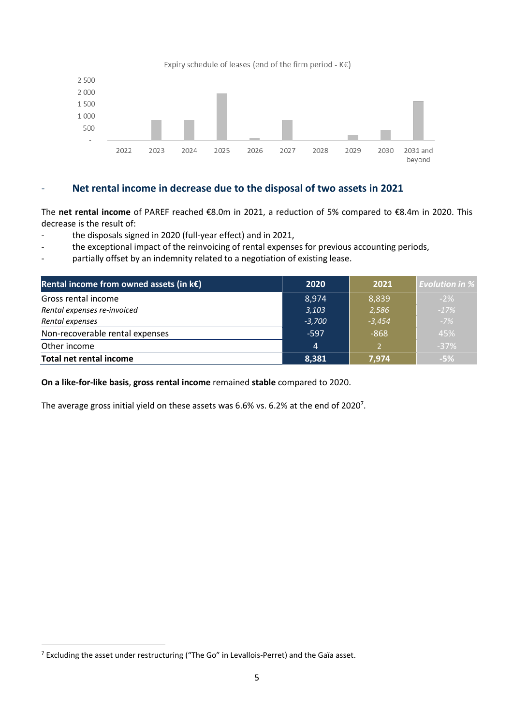

## - **Net rental income in decrease due to the disposal of two assets in 2021**

The **net rental income** of PAREF reached €8.0m in 2021, a reduction of 5% compared to €8.4m in 2020. This decrease is the result of:

- the disposals signed in 2020 (full-year effect) and in 2021,
- the exceptional impact of the reinvoicing of rental expenses for previous accounting periods,
- partially offset by an indemnity related to a negotiation of existing lease.

| Rental income from owned assets (in $k \in \mathbb{R}$ ) | 2020           | 2021     | <b>Evolution in %</b> |
|----------------------------------------------------------|----------------|----------|-----------------------|
| Gross rental income                                      | 8,974          | 8,839    | $-2%$                 |
| Rental expenses re-invoiced                              | 3,103          | 2,586    | $-17%$                |
| Rental expenses                                          | $-3,700$       | $-3,454$ | $-7%$                 |
| Non-recoverable rental expenses                          | $-597$         | $-868$   | 45%                   |
| Other income                                             | $\overline{4}$ |          | $-37%$                |
| <b>Total net rental income</b>                           | 8,381          | 7,974    | $-5%$                 |

**On a like-for-like basis**, **gross rental income** remained **stable** compared to 2020.

The average gross initial yield on these assets was 6.6% vs. 6.2% at the end of 2020<sup>7</sup>.

<sup>7</sup> Excluding the asset under restructuring ("The Go" in Levallois-Perret) and the Gaïa asset.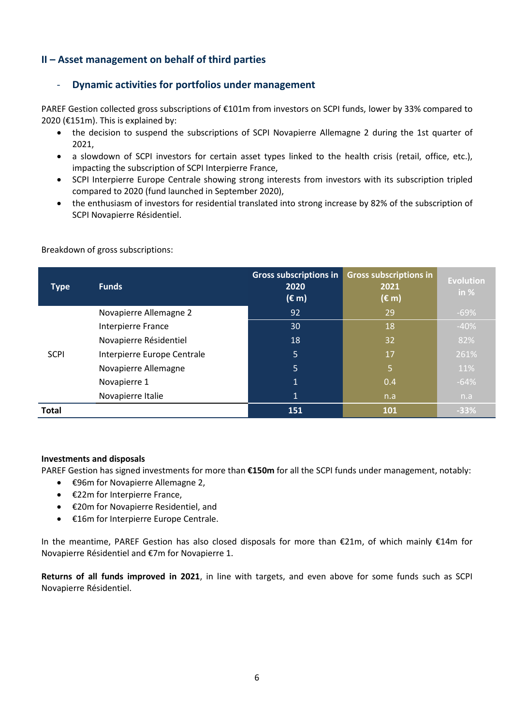## **II – Asset management on behalf of third parties**

## - **Dynamic activities for portfolios under management**

PAREF Gestion collected gross subscriptions of €101m from investors on SCPI funds, lower by 33% compared to 2020 ( $E151m$ ). This is explained by:

- the decision to suspend the subscriptions of SCPI Novapierre Allemagne 2 during the 1st quarter of 2021,
- a slowdown of SCPI investors for certain asset types linked to the health crisis (retail, office, etc.), impacting the subscription of SCPI Interpierre France,
- SCPI Interpierre Europe Centrale showing strong interests from investors with its subscription tripled compared to 2020 (fund launched in September 2020),
- the enthusiasm of investors for residential translated into strong increase by 82% of the subscription of SCPI Novapierre Résidentiel.

| <b>Type</b>  | <b>Funds</b>                | <b>Gross subscriptions in</b><br>2020<br>$(\epsilon m)$ | <b>Gross subscriptions in</b><br>2021<br>(€ m) | <b>Evolution</b><br>in $%$ |
|--------------|-----------------------------|---------------------------------------------------------|------------------------------------------------|----------------------------|
|              | Novapierre Allemagne 2      | $\overline{92}$                                         | 29                                             | $-69%$                     |
|              | Interpierre France          | 30                                                      | 18                                             | $-40%$                     |
|              | Novapierre Résidentiel      | 18                                                      | 32                                             | 82%                        |
| <b>SCPI</b>  | Interpierre Europe Centrale | 5                                                       | 17                                             | 261%                       |
|              | Novapierre Allemagne        | 5                                                       | 5.                                             | 11%                        |
|              | Novapierre 1                | $\mathbf{1}$                                            | 0.4                                            | $-64%$                     |
|              | Novapierre Italie           | $\mathbf 1$                                             | n.a                                            | n.a                        |
| <b>Total</b> |                             | 151                                                     | 101                                            | $-33%$                     |

Breakdown of gross subscriptions:

#### **Investments and disposals**

PAREF Gestion has signed investments for more than **€150m** for all the SCPI funds under management, notably:

- €96m for Novapierre Allemagne 2,
- €22m for Interpierre France,
- €20m for Novapierre Residentiel, and
- €16m for Interpierre Europe Centrale.

In the meantime, PAREF Gestion has also closed disposals for more than €21m, of which mainly €14m for Novapierre Résidentiel and €7m for Novapierre 1.

**Returns of all funds improved in 2021**, in line with targets, and even above for some funds such as SCPI Novapierre Résidentiel.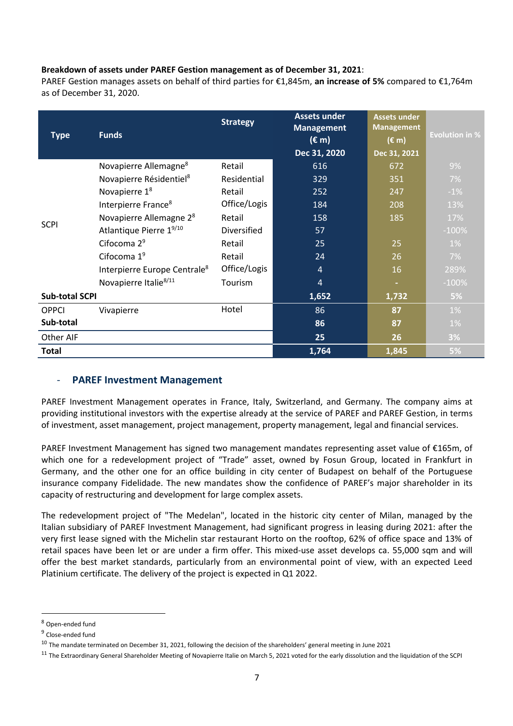### **Breakdown of assets under PAREF Gestion management as of December 31, 2021**:

PAREF Gestion manages assets on behalf of third parties for €1,845m, **an increase of 5%** compared to €1,764m as of December 31, 2020.

|                       |                                          | <b>Strategy</b> | <b>Assets under</b><br><b>Management</b> | <b>Assets under</b><br><b>Management</b> |                       |
|-----------------------|------------------------------------------|-----------------|------------------------------------------|------------------------------------------|-----------------------|
| <b>Type</b>           | <b>Funds</b>                             |                 | $(\epsilon m)$                           | $(\epsilon m)$                           | <b>Evolution in %</b> |
|                       |                                          |                 | Dec 31, 2020                             | Dec 31, 2021                             |                       |
|                       | Novapierre Allemagne <sup>8</sup>        | Retail          | 616                                      | 672                                      | 9%                    |
|                       | Novapierre Résidentiel <sup>8</sup>      | Residential     | 329                                      | 351                                      | 7%                    |
|                       | Novapierre 1 <sup>8</sup>                | Retail          | 252                                      | 247                                      | $-1%$                 |
| <b>SCPI</b>           | Interpierre France <sup>8</sup>          | Office/Logis    | 184                                      | 208                                      | 13%                   |
|                       | Novapierre Allemagne 2 <sup>8</sup>      | Retail          | 158                                      | 185                                      | 17%                   |
|                       | Atlantique Pierre 19/10                  | Diversified     | 57                                       |                                          | $-100%$               |
|                       | Cifocoma 2 <sup>9</sup>                  | Retail          | 25                                       | 25                                       | $1\%$                 |
|                       | Cifocoma $19$                            | Retail          | 24                                       | 26                                       | 7%                    |
|                       | Interpierre Europe Centrale <sup>8</sup> | Office/Logis    | $\overline{4}$                           | 16                                       | 289%                  |
|                       | Novapierre Italie <sup>8/11</sup>        | Tourism         | $\overline{4}$                           | ٠                                        | $-100%$               |
| <b>Sub-total SCPI</b> |                                          |                 | 1,652                                    | 1,732                                    | 5%                    |
| <b>OPPCI</b>          | Vivapierre                               | Hotel           | 86                                       | 87                                       | 1%                    |
| Sub-total             |                                          |                 | 86                                       | 87                                       | 1%                    |
| Other AIF             |                                          |                 | 25                                       | 26                                       | 3%                    |
| <b>Total</b>          |                                          |                 | 1,764                                    | 1,845                                    | 5%                    |

## **PAREF Investment Management**

PAREF Investment Management operates in France, Italy, Switzerland, and Germany. The company aims at providing institutional investors with the expertise already at the service of PAREF and PAREF Gestion, in terms of investment, asset management, project management, property management, legal and financial services.

PAREF Investment Management has signed two management mandates representing asset value of €165m, of which one for a redevelopment project of "Trade" asset, owned by Fosun Group, located in Frankfurt in Germany, and the other one for an office building in city center of Budapest on behalf of the Portuguese insurance company Fidelidade. The new mandates show the confidence of PAREF's major shareholder in its capacity of restructuring and development for large complex assets.

The redevelopment project of "The Medelan", located in the historic city center of Milan, managed by the Italian subsidiary of PAREF Investment Management, had significant progress in leasing during 2021: after the very first lease signed with the Michelin star restaurant Horto on the rooftop, 62% of office space and 13% of retail spaces have been let or are under a firm offer. This mixed-use asset develops ca. 55,000 sqm and will offer the best market standards, particularly from an environmental point of view, with an expected Leed Platinium certificate. The delivery of the project is expected in Q1 2022.

<sup>8</sup> Open-ended fund

<sup>&</sup>lt;sup>9</sup> Close-ended fund

 $10$  The mandate terminated on December 31, 2021, following the decision of the shareholders' general meeting in June 2021

<sup>&</sup>lt;sup>11</sup> The Extraordinary General Shareholder Meeting of Novapierre Italie on March 5, 2021 voted for the early dissolution and the liquidation of the SCPI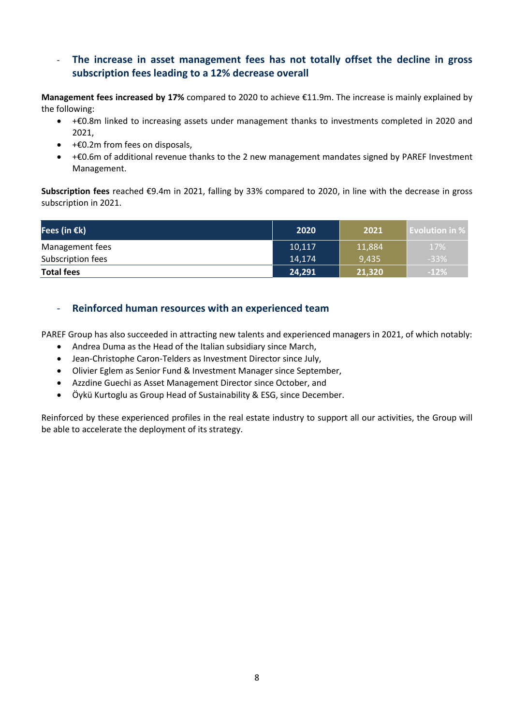- **The increase in asset management fees has not totally offset the decline in gross subscription fees leading to a 12% decrease overall**

**Management fees increased by 17%** compared to 2020 to achieve €11.9m. The increase is mainly explained by the following:

- +€0.8m linked to increasing assets under management thanks to investments completed in 2020 and 2021,
- +€0.2m from fees on disposals,
- +€0.6m of additional revenue thanks to the 2 new management mandates signed by PAREF Investment Management.

**Subscription fees** reached €9.4m in 2021, falling by 33% compared to 2020, in line with the decrease in gross subscription in 2021.

| Fees (in $\epsilon$ k) | 2020   | 2021   | <b>Evolution in %</b> |
|------------------------|--------|--------|-----------------------|
| Management fees        | 10,117 | 11,884 | 17%                   |
| Subscription fees      | 14,174 | 9,435  | $-33%$                |
| <b>Total fees</b>      | 24,291 | 21,320 | $-12%$                |

- **Reinforced human resources with an experienced team**

PAREF Group has also succeeded in attracting new talents and experienced managers in 2021, of which notably:

- Andrea Duma as the Head of the Italian subsidiary since March,
- Jean-Christophe Caron-Telders as Investment Director since July,
- Olivier Eglem as Senior Fund & Investment Manager since September,
- Azzdine Guechi as Asset Management Director since October, and
- Öykü Kurtoglu as Group Head of Sustainability & ESG, since December.

Reinforced by these experienced profiles in the real estate industry to support all our activities, the Group will be able to accelerate the deployment of its strategy.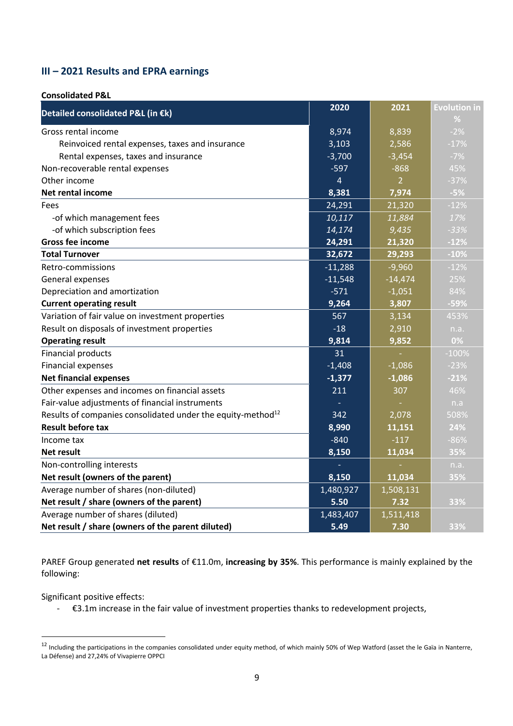# **III – 2021 Results and EPRA earnings**

#### **Consolidated P&L**

| Detailed consolidated P&L (in €k)                                       | 2020           | 2021           | <b>Evolution in</b> |
|-------------------------------------------------------------------------|----------------|----------------|---------------------|
|                                                                         |                |                | %                   |
| Gross rental income                                                     | 8,974          | 8,839          | $-2%$               |
| Reinvoiced rental expenses, taxes and insurance                         | 3,103          | 2,586          | $-17%$              |
| Rental expenses, taxes and insurance                                    | $-3,700$       | $-3,454$       | $-7%$               |
| Non-recoverable rental expenses                                         | $-597$         | $-868$         | 45%                 |
| Other income                                                            | $\overline{4}$ | $\overline{2}$ | $-37%$              |
| Net rental income                                                       | 8,381          | 7,974          | $-5%$               |
| Fees                                                                    | 24,291         | 21,320         | $-12%$              |
| -of which management fees                                               | 10,117         | 11,884         | 17%                 |
| -of which subscription fees                                             | 14,174         | 9,435          | $-33%$              |
| <b>Gross fee income</b>                                                 | 24,291         | 21,320         | $-12%$              |
| <b>Total Turnover</b>                                                   | 32,672         | 29,293         | $-10%$              |
| Retro-commissions                                                       | $-11,288$      | $-9,960$       | $-12%$              |
| General expenses                                                        | $-11,548$      | $-14,474$      | 25%                 |
| Depreciation and amortization                                           | $-571$         | $-1,051$       | 84%                 |
| <b>Current operating result</b>                                         | 9,264          | 3,807          | $-59%$              |
| Variation of fair value on investment properties                        | 567            | 3,134          | 453%                |
| Result on disposals of investment properties                            | $-18$          | 2,910          | n.a.                |
| <b>Operating result</b>                                                 | 9,814          | 9,852          | 0%                  |
| <b>Financial products</b>                                               | 31             |                | $-100%$             |
| Financial expenses                                                      | $-1,408$       | $-1,086$       | $-23%$              |
| <b>Net financial expenses</b>                                           | $-1,377$       | $-1,086$       | $-21%$              |
| Other expenses and incomes on financial assets                          | 211            | 307            | 46%                 |
| Fair-value adjustments of financial instruments                         |                |                | n.a                 |
| Results of companies consolidated under the equity-method <sup>12</sup> | 342            | 2,078          | 508%                |
| <b>Result before tax</b>                                                | 8,990          | 11,151         | 24%                 |
| Income tax                                                              | $-840$         | $-117$         | $-86%$              |
| Net result                                                              | 8,150          | 11,034         | 35%                 |
| Non-controlling interests                                               |                |                | n.a.                |
| Net result (owners of the parent)                                       | 8,150          | 11,034         | 35%                 |
| Average number of shares (non-diluted)                                  | 1,480,927      | 1,508,131      |                     |
| Net result / share (owners of the parent)                               | 5.50           | 7.32           | 33%                 |
| Average number of shares (diluted)                                      | 1,483,407      | 1,511,418      |                     |
| Net result / share (owners of the parent diluted)                       | 5.49           | 7.30           | 33%                 |

PAREF Group generated **net results** of €11.0m, **increasing by 35%**. This performance is mainly explained by the following:

Significant positive effects:

- €3.1m increase in the fair value of investment properties thanks to redevelopment projects,

<sup>&</sup>lt;sup>12</sup> Including the participations in the companies consolidated under equity method, of which mainly 50% of Wep Watford (asset the le Gaïa in Nanterre, La Défense) and 27,24% of Vivapierre OPPCI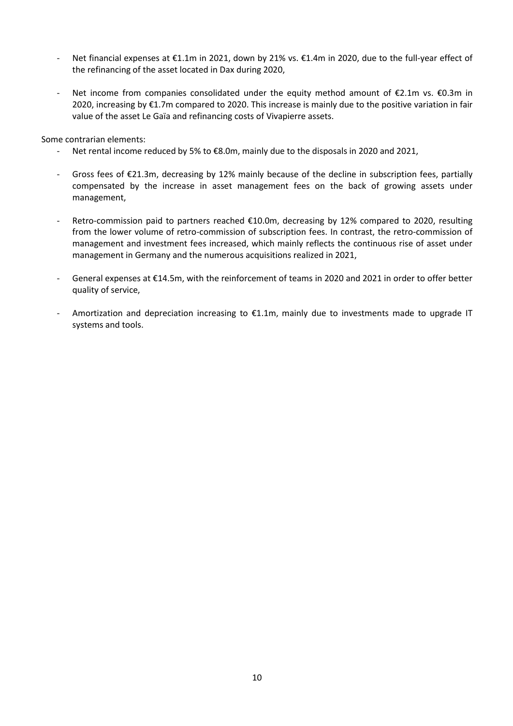- Net financial expenses at €1.1m in 2021, down by 21% vs. €1.4m in 2020, due to the full-year effect of the refinancing of the asset located in Dax during 2020,
- Net income from companies consolidated under the equity method amount of €2.1m vs. €0.3m in 2020, increasing by €1.7m compared to 2020. This increase is mainly due to the positive variation in fair value of the asset Le Gaïa and refinancing costs of Vivapierre assets.

Some contrarian elements:

- Net rental income reduced by 5% to €8.0m, mainly due to the disposals in 2020 and 2021,
- Gross fees of €21.3m, decreasing by 12% mainly because of the decline in subscription fees, partially compensated by the increase in asset management fees on the back of growing assets under management,
- Retro-commission paid to partners reached €10.0m, decreasing by 12% compared to 2020, resulting from the lower volume of retro-commission of subscription fees. In contrast, the retro-commission of management and investment fees increased, which mainly reflects the continuous rise of asset under management in Germany and the numerous acquisitions realized in 2021,
- General expenses at €14.5m, with the reinforcement of teams in 2020 and 2021 in order to offer better quality of service,
- Amortization and depreciation increasing to €1.1m, mainly due to investments made to upgrade IT systems and tools.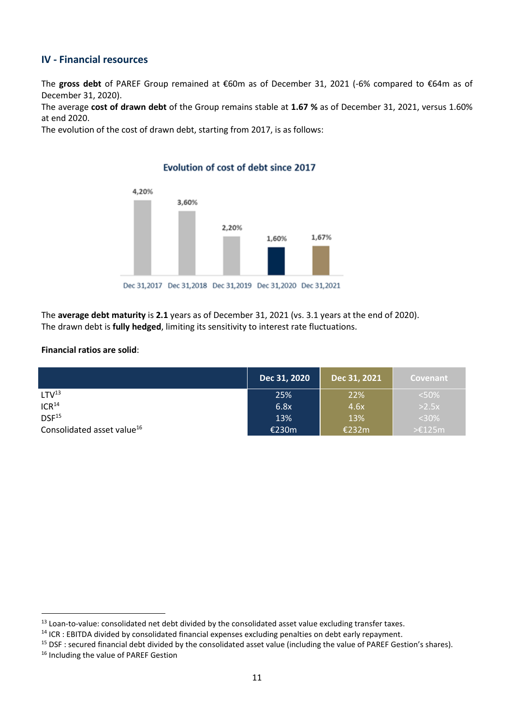## **IV - Financial resources**

The **gross debt** of PAREF Group remained at €60m as of December 31, 2021 (-6% compared to €64m as of December 31, 2020).

The average **cost of drawn debt** of the Group remains stable at **1.67 %** as of December 31, 2021, versus 1.60% at end 2020.

The evolution of the cost of drawn debt, starting from 2017, is as follows:



Evolution of cost of debt since 2017

The **average debt maturity** is **2.1** years as of December 31, 2021 (vs. 3.1 years at the end of 2020). The drawn debt is **fully hedged**, limiting its sensitivity to interest rate fluctuations.

#### **Financial ratios are solid**:

|                                        | Dec 31, 2020 | Dec 31, 2021 | <b>Covenant</b>    |
|----------------------------------------|--------------|--------------|--------------------|
| LTV <sup>13</sup>                      | 25%          | 22%          | < 50%              |
| ICR <sup>14</sup>                      | 6.8x         | 4.6x         | $>2.5x$            |
| DSF <sup>15</sup>                      | 13%          | 13%          | $<$ 30%            |
| Consolidated asset value <sup>16</sup> | €230m        | €232m        | $\geq \pounds125m$ |

<sup>&</sup>lt;sup>13</sup> Loan-to-value: consolidated net debt divided by the consolidated asset value excluding transfer taxes.

<sup>&</sup>lt;sup>14</sup> ICR : EBITDA divided by consolidated financial expenses excluding penalties on debt early repayment.

 $15$  DSF : secured financial debt divided by the consolidated asset value (including the value of PAREF Gestion's shares).

<sup>&</sup>lt;sup>16</sup> Including the value of PAREF Gestion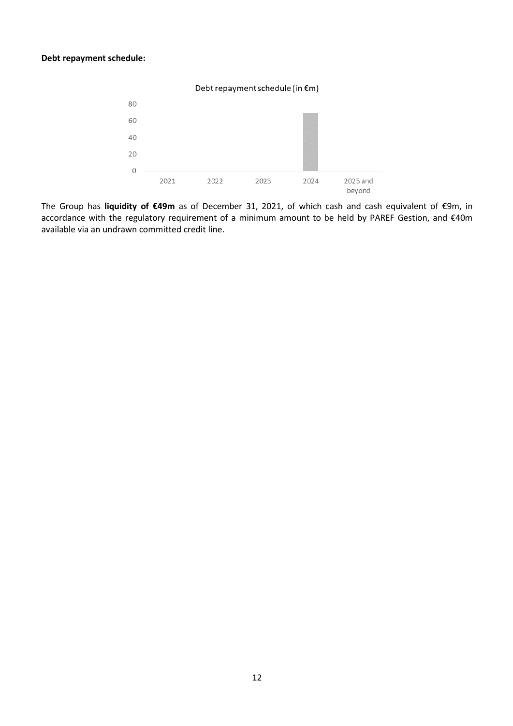#### **Debt repayment schedule:**



The Group has **liquidity of €49m** as of December 31, 2021, of which cash and cash equivalent of €9m, in accordance with the regulatory requirement of a minimum amount to be held by PAREF Gestion, and €40m available via an undrawn committed credit line.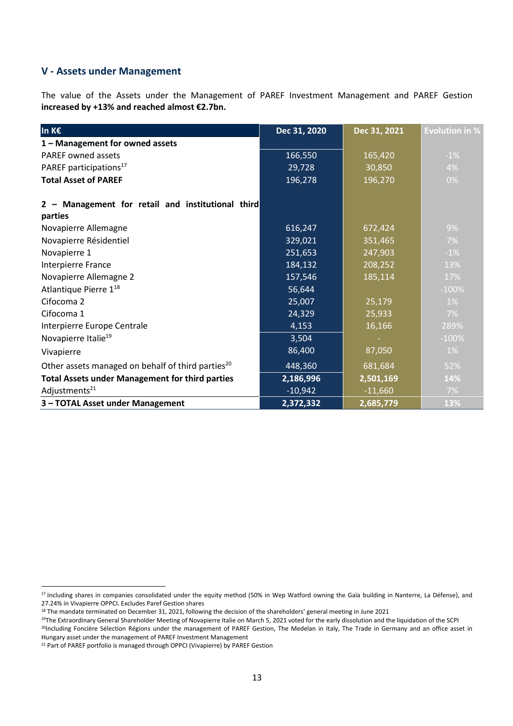## **V - Assets under Management**

The value of the Assets under the Management of PAREF Investment Management and PAREF Gestion **increased by +13% and reached almost €2.7bn.**

| In K€                                                         | Dec 31, 2020 | Dec 31, 2021 | <b>Evolution in %</b> |
|---------------------------------------------------------------|--------------|--------------|-----------------------|
| 1 - Management for owned assets                               |              |              |                       |
| <b>PAREF owned assets</b>                                     | 166,550      | 165,420      | $-1%$                 |
| PAREF participations <sup>17</sup>                            | 29,728       | 30,850       | 4%                    |
| <b>Total Asset of PAREF</b>                                   | 196,278      | 196,270      | 0%                    |
| Management for retail and institutional third<br>parties      |              |              |                       |
| Novapierre Allemagne                                          | 616,247      | 672,424      | 9%                    |
| Novapierre Résidentiel                                        | 329,021      | 351,465      | $7\%$                 |
| Novapierre 1                                                  | 251,653      | 247,903      | $-1%$                 |
| Interpierre France                                            | 184,132      | 208,252      | 13%                   |
| Novapierre Allemagne 2                                        | 157,546      | 185,114      | 17%                   |
| Atlantique Pierre 1 <sup>18</sup>                             | 56,644       |              | $-100%$               |
| Cifocoma 2                                                    | 25,007       | 25,179       | $1\%$                 |
| Cifocoma 1                                                    | 24,329       | 25,933       | 7%                    |
| Interpierre Europe Centrale                                   | 4,153        | 16,166       | 289%                  |
| Novapierre Italie <sup>19</sup>                               | 3,504        |              | $-100%$               |
| Vivapierre                                                    | 86,400       | 87,050       | $1\%$                 |
| Other assets managed on behalf of third parties <sup>20</sup> | 448,360      | 681,684      | 52%                   |
| <b>Total Assets under Management for third parties</b>        | 2,186,996    | 2,501,169    | 14%                   |
| Adjustments <sup>21</sup>                                     | $-10,942$    | $-11,660$    | 7%                    |
| 3 - TOTAL Asset under Management                              | 2,372,332    | 2,685,779    | 13%                   |

<sup>&</sup>lt;sup>17</sup> Including shares in companies consolidated under the equity method (50% in Wep Watford owning the Gaïa building in Nanterre, La Défense), and 27.24% in Vivapierre OPPCI. Excludes Paref Gestion shares

<sup>18</sup> The mandate terminated on December 31, 2021, following the decision of the shareholders' general meeting in June 2021

<sup>&</sup>lt;sup>19</sup>The Extraordinary General Shareholder Meeting of Novapierre Italie on March 5, 2021 voted for the early dissolution and the liquidation of the SCPI <sup>20</sup>Including Foncière Sélection Régions under the management of PAREF Gestion, The Medelan in Italy, The Trade in Germany and an office asset in Hungary asset under the management of PAREF Investment Management

<sup>&</sup>lt;sup>21</sup> Part of PAREF portfolio is managed through OPPCI (Vivapierre) by PAREF Gestion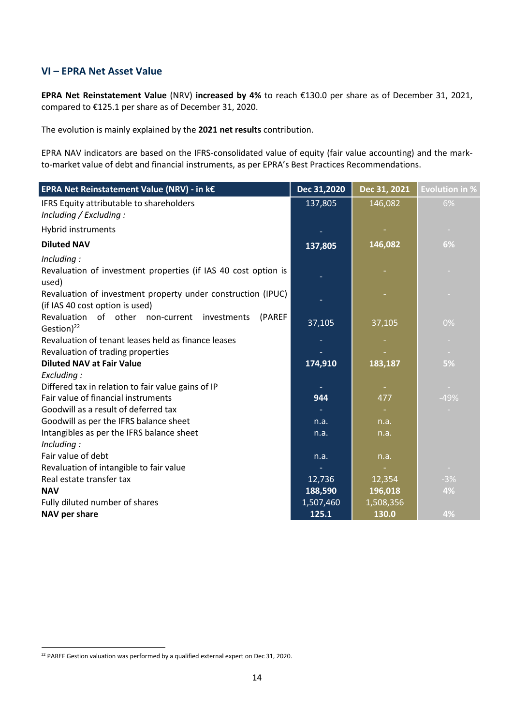## **VI – EPRA Net Asset Value**

**EPRA Net Reinstatement Value** (NRV) **increased by 4%** to reach €130.0 per share as of December 31, 2021, compared to €125.1 per share as of December 31, 2020.

The evolution is mainly explained by the **2021 net results** contribution.

EPRA NAV indicators are based on the IFRS-consolidated value of equity (fair value accounting) and the markto-market value of debt and financial instruments, as per EPRA's Best Practices Recommendations.

| EPRA Net Reinstatement Value (NRV) - in k€                                                      | Dec 31,2020 | Dec 31, 2021 | <b>Evolution in %</b> |
|-------------------------------------------------------------------------------------------------|-------------|--------------|-----------------------|
| IFRS Equity attributable to shareholders<br>Including / Excluding :                             | 137,805     | 146,082      | 6%                    |
| Hybrid instruments                                                                              |             |              | $\sim$                |
| <b>Diluted NAV</b>                                                                              | 137,805     | 146,082      | 6%                    |
| Including:<br>Revaluation of investment properties (if IAS 40 cost option is<br>used)           |             |              |                       |
| Revaluation of investment property under construction (IPUC)<br>(if IAS 40 cost option is used) |             |              |                       |
| Revaluation of other non-current investments<br>(PAREF<br>Gestion) <sup>22</sup>                | 37,105      | 37,105       | $0\%$                 |
| Revaluation of tenant leases held as finance leases                                             |             |              | $\sim$                |
| Revaluation of trading properties                                                               |             |              | <b>Contract</b>       |
| <b>Diluted NAV at Fair Value</b>                                                                | 174,910     | 183,187      | 5%                    |
| Excluding:                                                                                      |             |              |                       |
| Differed tax in relation to fair value gains of IP                                              |             |              | $\sim$                |
| Fair value of financial instruments                                                             | 944         | 477          | $-49%$                |
| Goodwill as a result of deferred tax                                                            |             |              |                       |
| Goodwill as per the IFRS balance sheet                                                          | n.a.        | n.a.         |                       |
| Intangibles as per the IFRS balance sheet                                                       | n.a.        | n.a.         |                       |
| Including:                                                                                      |             |              |                       |
| Fair value of debt                                                                              | n.a.        | n.a.         |                       |
| Revaluation of intangible to fair value                                                         |             |              |                       |
| Real estate transfer tax                                                                        | 12,736      | 12,354       | $-3%$                 |
| <b>NAV</b>                                                                                      | 188,590     | 196,018      | 4%                    |
| Fully diluted number of shares                                                                  | 1,507,460   | 1,508,356    |                       |
| NAV per share                                                                                   | 125.1       | 130.0        | 4%                    |

<sup>&</sup>lt;sup>22</sup> PAREF Gestion valuation was performed by a qualified external expert on Dec 31, 2020.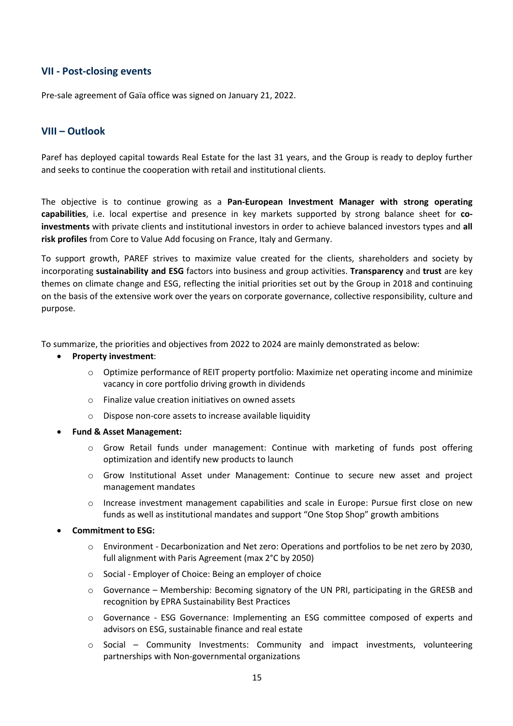## **VII - Post-closing events**

Pre-sale agreement of Gaïa office was signed on January 21, 2022.

## **VIII – Outlook**

Paref has deployed capital towards Real Estate for the last 31 years, and the Group is ready to deploy further and seeks to continue the cooperation with retail and institutional clients.

The objective is to continue growing as a **Pan-European Investment Manager with strong operating capabilities**, i.e. local expertise and presence in key markets supported by strong balance sheet for **coinvestments** with private clients and institutional investors in order to achieve balanced investors types and **all risk profiles** from Core to Value Add focusing on France, Italy and Germany.

To support growth, PAREF strives to maximize value created for the clients, shareholders and society by incorporating **sustainability and ESG** factors into business and group activities. **Transparency** and **trust** are key themes on climate change and ESG, reflecting the initial priorities set out by the Group in 2018 and continuing on the basis of the extensive work over the years on corporate governance, collective responsibility, culture and purpose.

To summarize, the priorities and objectives from 2022 to 2024 are mainly demonstrated as below:

#### • **Property investment**:

- o Optimize performance of REIT property portfolio: Maximize net operating income and minimize vacancy in core portfolio driving growth in dividends
- o Finalize value creation initiatives on owned assets
- o Dispose non-core assets to increase available liquidity
- **Fund & Asset Management:**
	- o Grow Retail funds under management: Continue with marketing of funds post offering optimization and identify new products to launch
	- o Grow Institutional Asset under Management: Continue to secure new asset and project management mandates
	- $\circ$  Increase investment management capabilities and scale in Europe: Pursue first close on new funds as well as institutional mandates and support "One Stop Shop" growth ambitions
- **Commitment to ESG:**
	- o Environment Decarbonization and Net zero: Operations and portfolios to be net zero by 2030, full alignment with Paris Agreement (max 2°C by 2050)
	- o Social Employer of Choice: Being an employer of choice
	- $\circ$  Governance Membership: Becoming signatory of the UN PRI, participating in the GRESB and recognition by EPRA Sustainability Best Practices
	- o Governance ESG Governance: Implementing an ESG committee composed of experts and advisors on ESG, sustainable finance and real estate
	- $\circ$  Social Community Investments: Community and impact investments, volunteering partnerships with Non-governmental organizations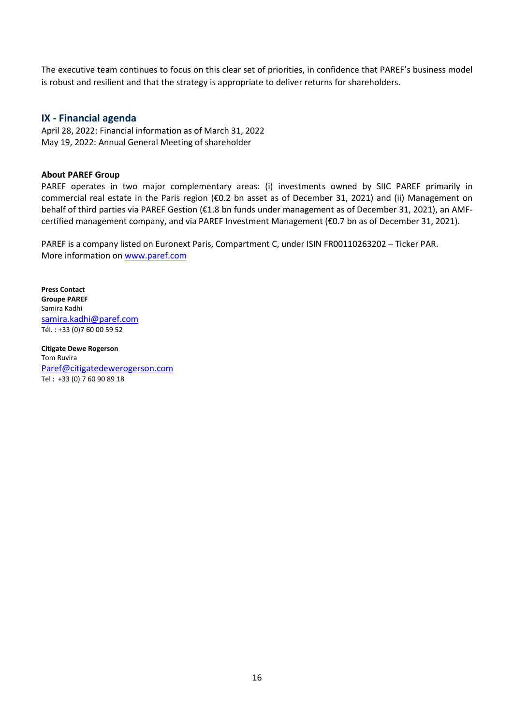The executive team continues to focus on this clear set of priorities, in confidence that PAREF's business model is robust and resilient and that the strategy is appropriate to deliver returns for shareholders.

### **IX - Financial agenda**

April 28, 2022: Financial information as of March 31, 2022 May 19, 2022: Annual General Meeting of shareholder

#### **About PAREF Group**

PAREF operates in two major complementary areas: (i) investments owned by SIIC PAREF primarily in commercial real estate in the Paris region (€0.2 bn asset as of December 31, 2021) and (ii) Management on behalf of third parties via PAREF Gestion (€1.8 bn funds under management as of December 31, 2021), an AMFcertified management company, and via PAREF Investment Management (€0.7 bn as of December 31, 2021).

PAREF is a company listed on Euronext Paris, Compartment C, under ISIN FR00110263202 – Ticker PAR. More information on [www.paref.com](http://www.paref.com/)

**Press Contact Groupe PAREF** Samira Kadhi [samira.kadhi@paref.com](mailto:samira.kadhi@paref.com) Tél. : +33 (0)7 60 00 59 52

**Citigate Dewe Rogerson** Tom Ruvira Paref@citigatedewerogerson.com Tel : +33 (0) 7 60 90 89 18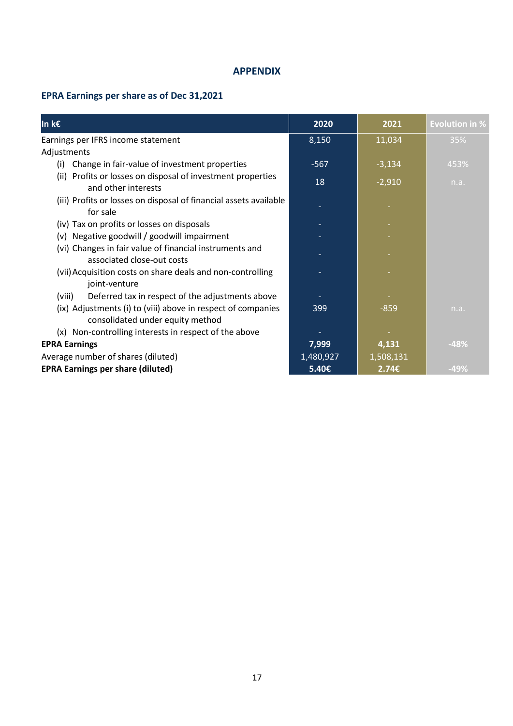### **APPENDIX**

# **EPRA Earnings per share as of Dec 31,2021**

| In k€                                                                                            | 2020      | 2021      | <b>Evolution in %</b> |
|--------------------------------------------------------------------------------------------------|-----------|-----------|-----------------------|
| Earnings per IFRS income statement                                                               | 8,150     | 11,034    | 35%                   |
| Adjustments                                                                                      |           |           |                       |
| Change in fair-value of investment properties<br>(i)                                             | $-567$    | $-3,134$  | 453%                  |
| (ii) Profits or losses on disposal of investment properties<br>and other interests               | 18        | $-2,910$  | n.a.                  |
| (iii) Profits or losses on disposal of financial assets available<br>for sale                    |           |           |                       |
| (iv) Tax on profits or losses on disposals                                                       |           |           |                       |
| (v) Negative goodwill / goodwill impairment                                                      |           |           |                       |
| (vi) Changes in fair value of financial instruments and<br>associated close-out costs            |           |           |                       |
| (vii) Acquisition costs on share deals and non-controlling<br>joint-venture                      |           |           |                       |
| Deferred tax in respect of the adjustments above<br>(viii)                                       |           |           |                       |
| (ix) Adjustments (i) to (viii) above in respect of companies<br>consolidated under equity method | 399       | $-859$    | n.a.                  |
| (x) Non-controlling interests in respect of the above                                            |           |           |                       |
| <b>EPRA Earnings</b>                                                                             | 7,999     | 4,131     | $-48%$                |
| Average number of shares (diluted)                                                               | 1,480,927 | 1,508,131 |                       |
| <b>EPRA Earnings per share (diluted)</b>                                                         | 5.40€     | 2.74E     | $-49%$                |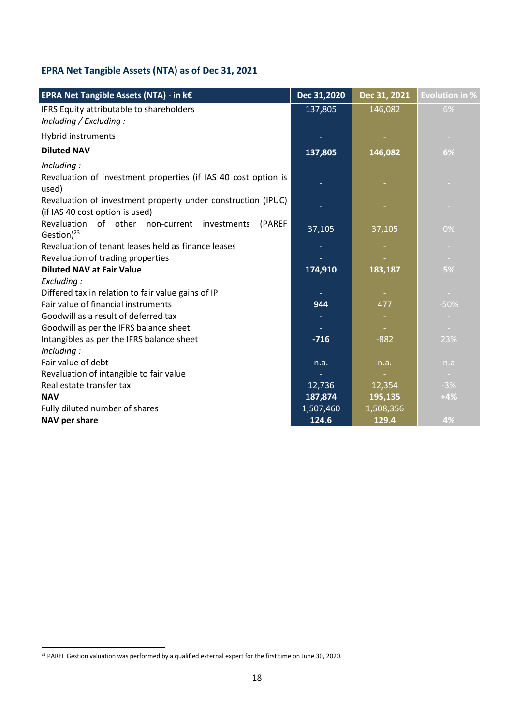# **EPRA Net Tangible Assets (NTA) as of Dec 31, 2021**

| EPRA Net Tangible Assets (NTA) - in k€                                                          | Dec 31,2020 | Dec 31, 2021 | <b>Evolution in %</b> |
|-------------------------------------------------------------------------------------------------|-------------|--------------|-----------------------|
| IFRS Equity attributable to shareholders<br>Including / Excluding :                             | 137,805     | 146,082      | 6%                    |
| Hybrid instruments                                                                              |             |              |                       |
| <b>Diluted NAV</b>                                                                              | 137,805     | 146,082      | 6%                    |
| Including:<br>Revaluation of investment properties (if IAS 40 cost option is                    |             |              |                       |
| used)                                                                                           |             |              |                       |
| Revaluation of investment property under construction (IPUC)<br>(if IAS 40 cost option is used) |             |              |                       |
| Revaluation of other non-current<br>investments<br>(PAREF<br>Gestion) $^{23}$                   | 37,105      | 37,105       | 0%                    |
| Revaluation of tenant leases held as finance leases                                             |             |              |                       |
| Revaluation of trading properties                                                               |             |              |                       |
| <b>Diluted NAV at Fair Value</b>                                                                | 174,910     | 183,187      | 5%                    |
| Excluding:                                                                                      |             |              |                       |
| Differed tax in relation to fair value gains of IP                                              |             |              |                       |
| Fair value of financial instruments                                                             | 944         | 477          | $-50%$                |
| Goodwill as a result of deferred tax                                                            |             |              |                       |
| Goodwill as per the IFRS balance sheet                                                          |             |              |                       |
| Intangibles as per the IFRS balance sheet                                                       | $-716$      | $-882$       | 23%                   |
| Including:                                                                                      |             |              |                       |
| Fair value of debt                                                                              | n.a.        | n.a.         | n.a                   |
| Revaluation of intangible to fair value                                                         |             |              |                       |
| Real estate transfer tax                                                                        | 12,736      | 12,354       | $-3%$                 |
| <b>NAV</b>                                                                                      | 187,874     | 195,135      | $+4%$                 |
| Fully diluted number of shares                                                                  | 1,507,460   | 1,508,356    |                       |
| NAV per share                                                                                   | 124.6       | 129.4        | 4%                    |

<sup>&</sup>lt;sup>23</sup> PAREF Gestion valuation was performed by a qualified external expert for the first time on June 30, 2020.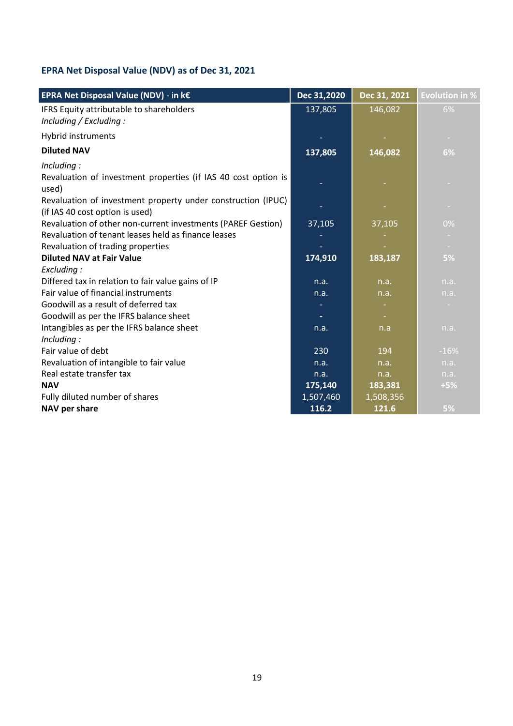# **EPRA Net Disposal Value (NDV) as of Dec 31, 2021**

| EPRA Net Disposal Value (NDV) - in k€                                   | Dec 31,2020 | Dec 31, 2021 | <b>Evolution in %</b> |
|-------------------------------------------------------------------------|-------------|--------------|-----------------------|
| IFRS Equity attributable to shareholders<br>Including / Excluding :     | 137,805     | 146,082      | 6%                    |
| Hybrid instruments                                                      |             |              | $\sim$                |
| <b>Diluted NAV</b>                                                      | 137,805     | 146,082      | 6%                    |
| Including:                                                              |             |              |                       |
| Revaluation of investment properties (if IAS 40 cost option is<br>used) |             |              |                       |
| Revaluation of investment property under construction (IPUC)            |             |              | ×.                    |
| (if IAS 40 cost option is used)                                         |             |              |                       |
| Revaluation of other non-current investments (PAREF Gestion)            | 37,105      | 37,105       | $0\%$                 |
| Revaluation of tenant leases held as finance leases                     |             |              | $\sim$                |
| Revaluation of trading properties                                       |             |              |                       |
| <b>Diluted NAV at Fair Value</b>                                        | 174,910     | 183,187      | 5%                    |
| Excluding:                                                              |             |              |                       |
| Differed tax in relation to fair value gains of IP                      | n.a.        | n.a.         | n.a.                  |
| Fair value of financial instruments                                     | n.a.        | n.a.         | n.a.                  |
| Goodwill as a result of deferred tax                                    |             |              |                       |
| Goodwill as per the IFRS balance sheet                                  |             |              |                       |
| Intangibles as per the IFRS balance sheet                               | n.a.        | n.a          | n.a.                  |
| Including:                                                              |             |              |                       |
| Fair value of debt                                                      | 230         | 194          | $-16%$                |
| Revaluation of intangible to fair value                                 | n.a.        | n.a.         | n.a.                  |
| Real estate transfer tax                                                | n.a.        | n.a.         | n.a.                  |
| <b>NAV</b>                                                              | 175,140     | 183,381      | $+5%$                 |
| Fully diluted number of shares                                          | 1,507,460   | 1,508,356    |                       |
| NAV per share                                                           | 116.2       | 121.6        | 5%                    |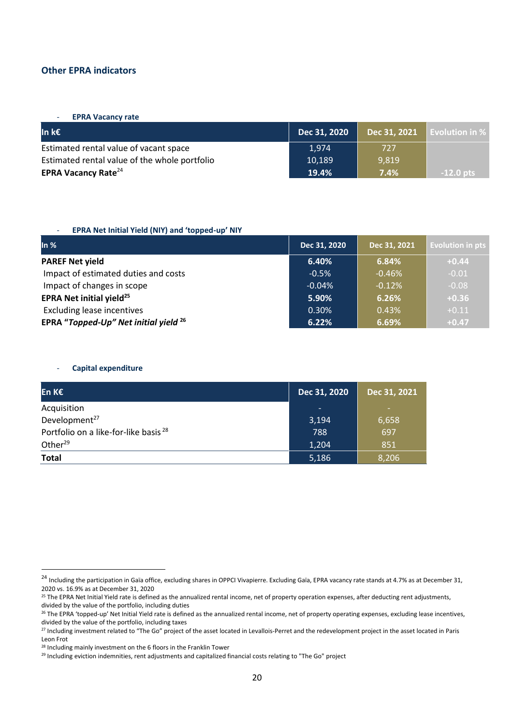### **Other EPRA indicators**

- **EPRA Vacancy rate**

| ln k€                                         | Dec 31, 2020 | Dec 31, 2021 | $\blacksquare$ Evolution in $\%$ . |
|-----------------------------------------------|--------------|--------------|------------------------------------|
| Estimated rental value of vacant space        | 1.974        | 727          |                                    |
| Estimated rental value of the whole portfolio | 10,189       | 9.819        |                                    |
| <b>EPRA Vacancy Rate</b> <sup>24</sup>        | 19.4%        | 7.4%         | $-12.0$ pts $\mu$                  |

#### - **EPRA Net Initial Yield (NIY) and 'topped-up' NIY**

| In $%$                                           | Dec 31, 2020 | Dec 31, 2021 | <b>Evolution in pts</b> |
|--------------------------------------------------|--------------|--------------|-------------------------|
| <b>PAREF Net yield</b>                           | 6.40%        | 6.84%        | $+0.44$                 |
| Impact of estimated duties and costs             | $-0.5%$      | $-0.46%$     | $-0.01$                 |
| Impact of changes in scope                       | $-0.04%$     | $-0.12%$     | $-0.08$                 |
| <b>EPRA Net initial yield<sup>25</sup></b>       | 5.90%        | 6.26%        | $+0.36$                 |
| <b>Excluding lease incentives</b>                | 0.30%        | 0.43%        | $+0.11$                 |
| EPRA "Topped-Up" Net initial yield <sup>26</sup> | 6.22%        | 6.69%        | $+0.47$                 |

#### - **Capital expenditure**

| En K€                                            | Dec 31, 2020             | Dec 31, 2021 |
|--------------------------------------------------|--------------------------|--------------|
| Acquisition                                      | $\overline{\phantom{a}}$ | ۰            |
| Development <sup>27</sup>                        | 3,194                    | 6,658        |
| Portfolio on a like-for-like basis <sup>28</sup> | 788                      | 697          |
| Other <sup>29</sup>                              | 1,204                    | 851          |
| <b>Total</b>                                     | 5,186                    | 8,206        |

 $^{24}$  Including the participation in Gaïa office, excluding shares in OPPCI Vivapierre. Excluding Gaïa, EPRA vacancy rate stands at 4.7% as at December 31, 2020 vs. 16.9% as at December 31, 2020

<sup>&</sup>lt;sup>25</sup> The EPRA Net Initial Yield rate is defined as the annualized rental income, net of property operation expenses, after deducting rent adjustments, divided by the value of the portfolio, including duties

<sup>&</sup>lt;sup>26</sup> The EPRA 'topped-up' Net Initial Yield rate is defined as the annualized rental income, net of property operating expenses, excluding lease incentives, divided by the value of the portfolio, including taxes

<sup>27</sup> Including investment related to "The Go" project of the asset located in Levallois-Perret and the redevelopment project in the asset located in Paris Leon Frot

<sup>&</sup>lt;sup>28</sup> Including mainly investment on the 6 floors in the Franklin Tower

<sup>&</sup>lt;sup>29</sup> Including eviction indemnities, rent adjustments and capitalized financial costs relating to "The Go" project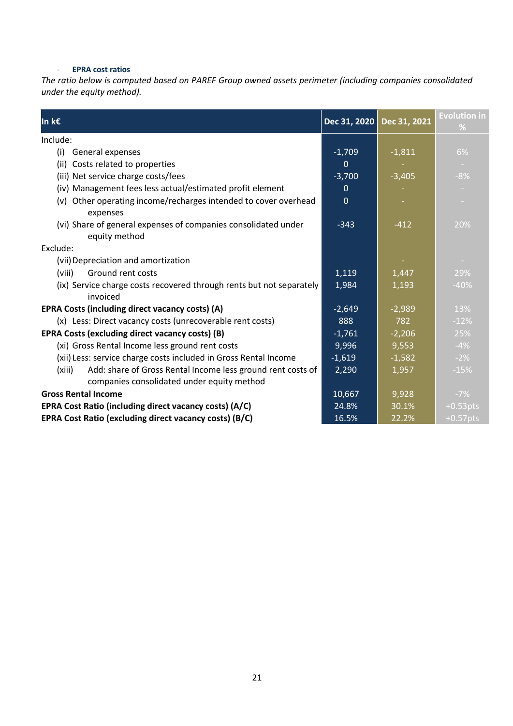#### - **EPRA cost ratios**

*The ratio below is computed based on PAREF Group owned assets perimeter (including companies consolidated under the equity method).*

| In k€                                                                                                               | Dec 31, 2020 | Dec 31, 2021 | <b>Evolution in</b><br>% |
|---------------------------------------------------------------------------------------------------------------------|--------------|--------------|--------------------------|
| Include:                                                                                                            |              |              |                          |
| General expenses<br>(i)                                                                                             | $-1,709$     | $-1,811$     | 6%                       |
| (ii) Costs related to properties                                                                                    | 0            |              | $\sim$                   |
| (iii) Net service charge costs/fees                                                                                 | $-3,700$     | $-3,405$     | $-8%$                    |
| (iv) Management fees less actual/estimated profit element                                                           | 0            |              | $\sim$                   |
| (v) Other operating income/recharges intended to cover overhead<br>expenses                                         | $\mathbf 0$  |              |                          |
| (vi) Share of general expenses of companies consolidated under<br>equity method                                     | $-343$       | $-412$       | 20%                      |
| Exclude:                                                                                                            |              |              |                          |
| (vii) Depreciation and amortization                                                                                 |              |              |                          |
| (viii)<br>Ground rent costs                                                                                         | 1,119        | 1,447        | 29%                      |
| (ix) Service charge costs recovered through rents but not separately<br>invoiced                                    | 1,984        | 1,193        | $-40%$                   |
| EPRA Costs (including direct vacancy costs) (A)                                                                     | $-2,649$     | $-2,989$     | 13%                      |
| (x) Less: Direct vacancy costs (unrecoverable rent costs)                                                           | 888          | 782          | $-12%$                   |
| <b>EPRA Costs (excluding direct vacancy costs) (B)</b>                                                              | $-1,761$     | $-2,206$     | 25%                      |
| (xi) Gross Rental Income less ground rent costs                                                                     | 9,996        | 9,553        | $-4%$                    |
| (xii) Less: service charge costs included in Gross Rental Income                                                    | $-1,619$     | $-1,582$     | $-2%$                    |
| Add: share of Gross Rental Income less ground rent costs of<br>(xiii)<br>companies consolidated under equity method | 2,290        | 1,957        | $-15%$                   |
| <b>Gross Rental Income</b>                                                                                          | 10,667       | 9,928        | $-7%$                    |
| EPRA Cost Ratio (including direct vacancy costs) (A/C)                                                              | 24.8%        | 30.1%        | $+0.53pts$               |
| EPRA Cost Ratio (excluding direct vacancy costs) (B/C)                                                              | 16.5%        | 22.2%        | $+0.57$ pts              |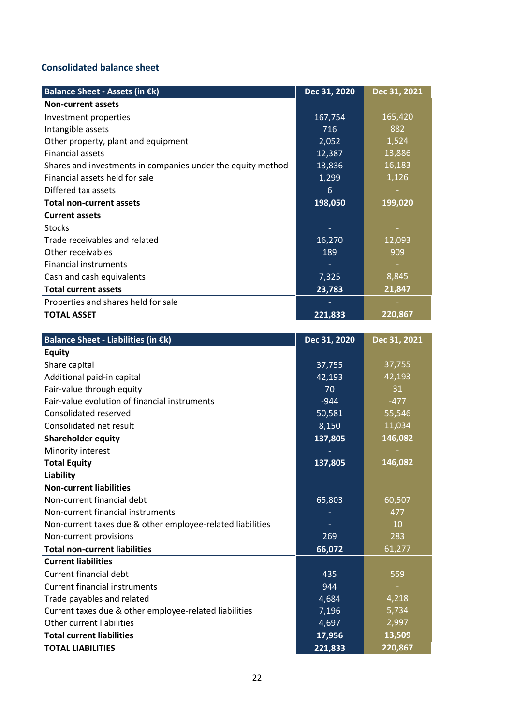# **Consolidated balance sheet**

| Balance Sheet - Assets (in €k)                              | Dec 31, 2020 | Dec 31, 2021 |
|-------------------------------------------------------------|--------------|--------------|
| <b>Non-current assets</b>                                   |              |              |
| Investment properties                                       | 167,754      | 165,420      |
| Intangible assets                                           | 716          | 882          |
| Other property, plant and equipment                         | 2,052        | 1,524        |
| <b>Financial assets</b>                                     | 12,387       | 13,886       |
| Shares and investments in companies under the equity method | 13,836       | 16,183       |
| Financial assets held for sale                              | 1,299        | 1,126        |
| Differed tax assets                                         | 6            |              |
| <b>Total non-current assets</b>                             | 198,050      | 199,020      |
| <b>Current assets</b>                                       |              |              |
| <b>Stocks</b>                                               |              |              |
| Trade receivables and related                               | 16,270       | 12,093       |
| Other receivables                                           | 189          | 909          |
| <b>Financial instruments</b>                                |              |              |
| Cash and cash equivalents                                   | 7,325        | 8,845        |
| <b>Total current assets</b>                                 | 23,783       | 21,847       |
| Properties and shares held for sale                         |              |              |
| <b>TOTAL ASSET</b>                                          | 221,833      | 220,867      |

| Balance Sheet - Liabilities (in €k)                        | Dec 31, 2020 | Dec 31, 2021 |
|------------------------------------------------------------|--------------|--------------|
| <b>Equity</b>                                              |              |              |
| Share capital                                              | 37,755       | 37,755       |
| Additional paid-in capital                                 | 42,193       | 42,193       |
| Fair-value through equity                                  | 70           | 31           |
| Fair-value evolution of financial instruments              | $-944$       | $-477$       |
| Consolidated reserved                                      | 50,581       | 55,546       |
| Consolidated net result                                    | 8,150        | 11,034       |
| <b>Shareholder equity</b>                                  | 137,805      | 146,082      |
| Minority interest                                          |              |              |
| <b>Total Equity</b>                                        | 137,805      | 146,082      |
| Liability                                                  |              |              |
| <b>Non-current liabilities</b>                             |              |              |
| Non-current financial debt                                 | 65,803       | 60,507       |
| Non-current financial instruments                          |              | 477          |
| Non-current taxes due & other employee-related liabilities |              | 10           |
| Non-current provisions                                     | 269          | 283          |
| <b>Total non-current liabilities</b>                       | 66,072       | 61,277       |
| <b>Current liabilities</b>                                 |              |              |
| <b>Current financial debt</b>                              | 435          | 559          |
| <b>Current financial instruments</b>                       | 944          |              |
| Trade payables and related                                 | 4,684        | 4,218        |
| Current taxes due & other employee-related liabilities     | 7,196        | 5,734        |
| Other current liabilities                                  | 4,697        | 2,997        |
| <b>Total current liabilities</b>                           | 17,956       | 13,509       |
| <b>TOTAL LIABILITIES</b>                                   | 221,833      | 220,867      |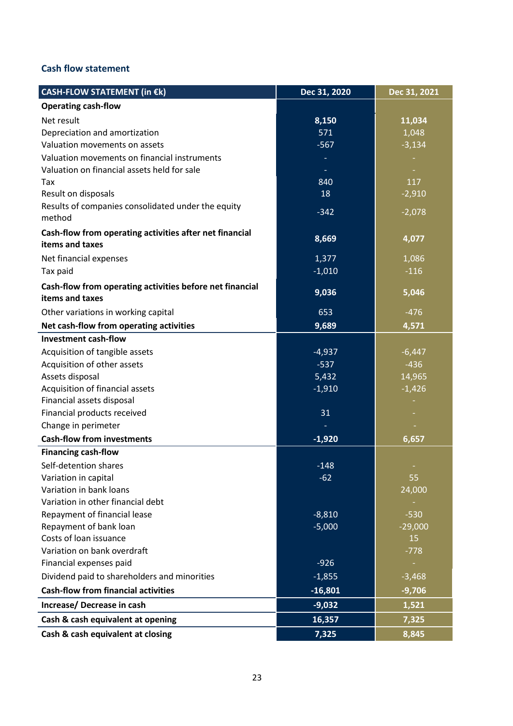## **Cash flow statement**

| CASH-FLOW STATEMENT (in €k)                                                 | Dec 31, 2020 | Dec 31, 2021 |
|-----------------------------------------------------------------------------|--------------|--------------|
| <b>Operating cash-flow</b>                                                  |              |              |
| Net result                                                                  | 8,150        | 11,034       |
| Depreciation and amortization                                               | 571          | 1,048        |
| Valuation movements on assets                                               | $-567$       | $-3,134$     |
| Valuation movements on financial instruments                                |              |              |
| Valuation on financial assets held for sale                                 |              |              |
| Tax                                                                         | 840          | 117          |
| Result on disposals                                                         | 18           | $-2,910$     |
| Results of companies consolidated under the equity<br>method                | $-342$       | $-2,078$     |
| Cash-flow from operating activities after net financial<br>items and taxes  | 8,669        | 4,077        |
| Net financial expenses                                                      | 1,377        | 1,086        |
| Tax paid                                                                    | $-1,010$     | $-116$       |
| Cash-flow from operating activities before net financial<br>items and taxes | 9,036        | 5,046        |
| Other variations in working capital                                         | 653          | $-476$       |
| Net cash-flow from operating activities                                     | 9,689        | 4,571        |
| <b>Investment cash-flow</b>                                                 |              |              |
| Acquisition of tangible assets                                              | $-4,937$     | $-6,447$     |
| Acquisition of other assets                                                 | $-537$       | $-436$       |
| Assets disposal                                                             | 5,432        | 14,965       |
| Acquisition of financial assets                                             | $-1,910$     | $-1,426$     |
| Financial assets disposal                                                   |              |              |
| Financial products received                                                 | 31           |              |
| Change in perimeter                                                         |              |              |
| <b>Cash-flow from investments</b>                                           | $-1,920$     | 6,657        |
| <b>Financing cash-flow</b>                                                  |              |              |
| Self-detention shares                                                       | $-148$       |              |
| Variation in capital                                                        | $-62$        | 55           |
| Variation in bank loans                                                     |              | 24,000       |
| Variation in other financial debt                                           |              |              |
| Repayment of financial lease                                                | $-8,810$     | $-530$       |
| Repayment of bank loan                                                      | $-5,000$     | $-29,000$    |
| Costs of loan issuance                                                      |              | 15           |
| Variation on bank overdraft                                                 |              | $-778$       |
| Financial expenses paid                                                     | $-926$       |              |
| Dividend paid to shareholders and minorities                                | $-1,855$     | $-3,468$     |
| <b>Cash-flow from financial activities</b>                                  | $-16,801$    | $-9,706$     |
| Increase/ Decrease in cash                                                  | $-9,032$     | 1,521        |
| Cash & cash equivalent at opening                                           | 16,357       | 7,325        |
| Cash & cash equivalent at closing                                           | 7,325        | 8,845        |